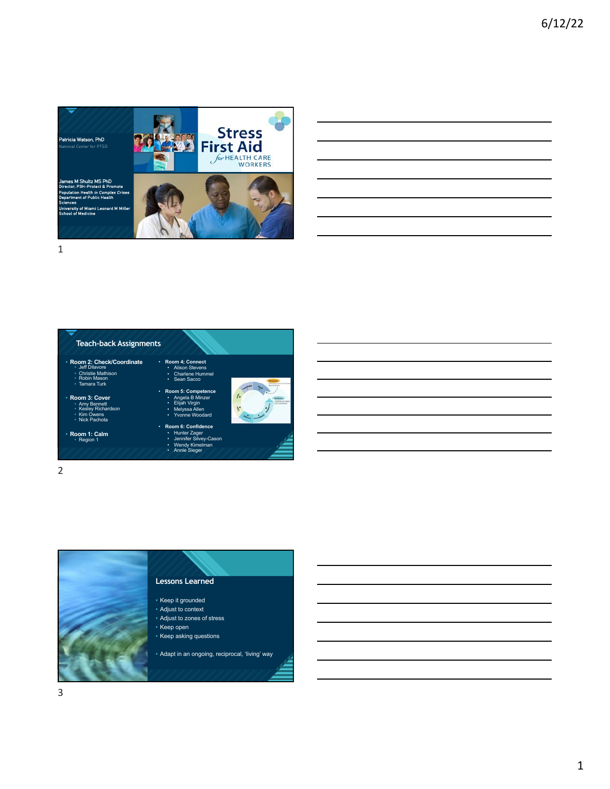

| <b>Teach-back Assignments</b>                                                                        |                                                                                                                               |                             |
|------------------------------------------------------------------------------------------------------|-------------------------------------------------------------------------------------------------------------------------------|-----------------------------|
| Room 2: Check/Coordinate<br>• Jeff Dilavore<br>• Christie Mathison<br>• Robin Mason<br>· Tamara Turk | · Room 4; Connect<br>• Alison Stevens<br>• Charlene Hummel<br>• Sean Sacco                                                    | and how art layer of I have |
| Room 3: Cover<br>• Amy Bennett<br>• Kesley Richardson<br>• Kim Owens<br>• Nick Pachota               | · Room 5: Competence<br>Angela B Minzer<br>$\bullet$ .<br>Elijah Virgin<br>$\bullet$ .<br>• Melyssa Allen<br>• Yvonne Woodard |                             |
| Room 1: Calm<br>• Region 1                                                                           | · Room 6: Confidence<br>• Hunter Zager<br>• Jennifer Silvey-Cason<br>• Wendy Kimelman<br>• Annie Sieger                       |                             |

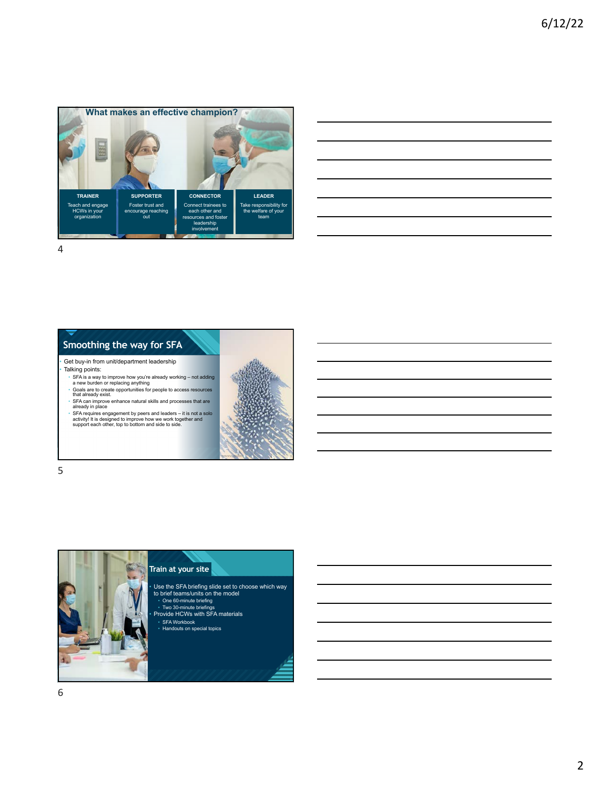



## Get buy-in from unit/department leadership

- Talking points: SFA is a way to improve how you're already working not adding a new burden or replacing anything Goals are to create opportunities for people to access resources that already exist.
- 
- 
- STA can improve enhance natural skills and processes that are<br>siready in place<br>STA requires engagement by peers and leaders it is not a solo<br>activity! It is designed to improve how we work together and<br>support each other



5



• Use the SFA briefing slide set to choose which way to brief teams/units on the model • One 60-minute briefing

• Two 30-minute briefings • Provide HCWs with SFA materials

• SFA Workbook • Handouts on special topics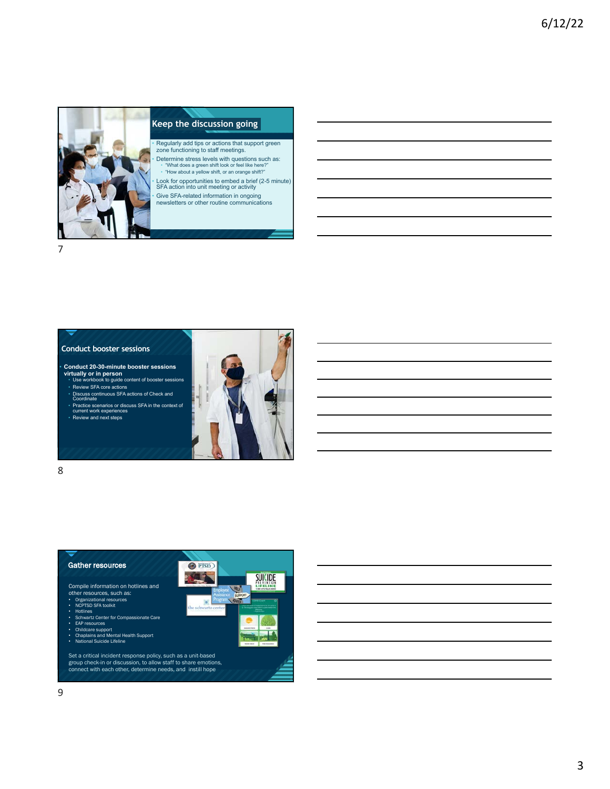

## **Click to edit Massem in the Massem style style style style style style style style style style style style style**

• Regularly add tips or actions that support green zone functioning to staff meetings.

• Determine stress levels with questions such as: • "What does a green shift look or feel like here?" • "How about a yellow shift, or an orange shift?"

• Look for opportunities to embed a brief (2-5 minute) SFA action into unit meeting or activity

7

• Give SFA-related information in ongoing newsletters or other routine communications

7

# **Conduct booster sessions**

• **Conduct 20-30-minute booster sessions virtually or in person** • Use workbook to guide content of booster sessions • Review SFA core actions

- 
- Discuss continuous SFA actions of Check and Coordinate

• Practice scenarios or discuss SFA in the context of current work experiences

• Review and next steps



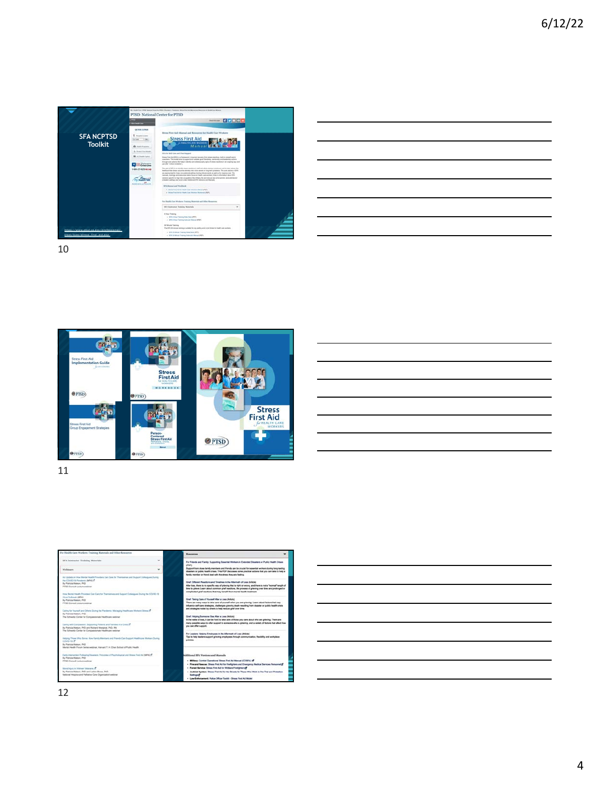

| <u> Alexandro de la contrada de la contrada de la contrada de la contrada de la contrada de la contrada de la con</u>                                                |  | _______                           |
|----------------------------------------------------------------------------------------------------------------------------------------------------------------------|--|-----------------------------------|
|                                                                                                                                                                      |  |                                   |
| ,我们也不会有一个人的事情。""我们的人们,我们也不会有一个人的人,我们也不会有一个人的人,我们也不会有一个人的人,我们也不会有一个人的人,我们也不会有一个人的<br>第一百一十一章 我们的人,我们的人们的人们,我们的人们的人们的人们,我们的人们的人们的人们,我们的人们的人们的人们,我们的人们的人们的人们,我们的人们的人们,我 |  | and the control of the control of |
|                                                                                                                                                                      |  |                                   |
|                                                                                                                                                                      |  |                                   |
|                                                                                                                                                                      |  |                                   |
|                                                                                                                                                                      |  |                                   |





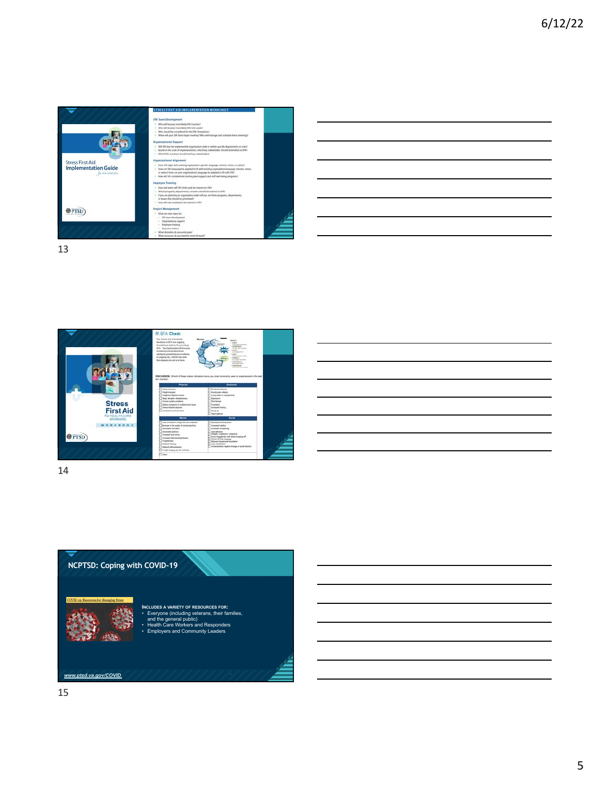





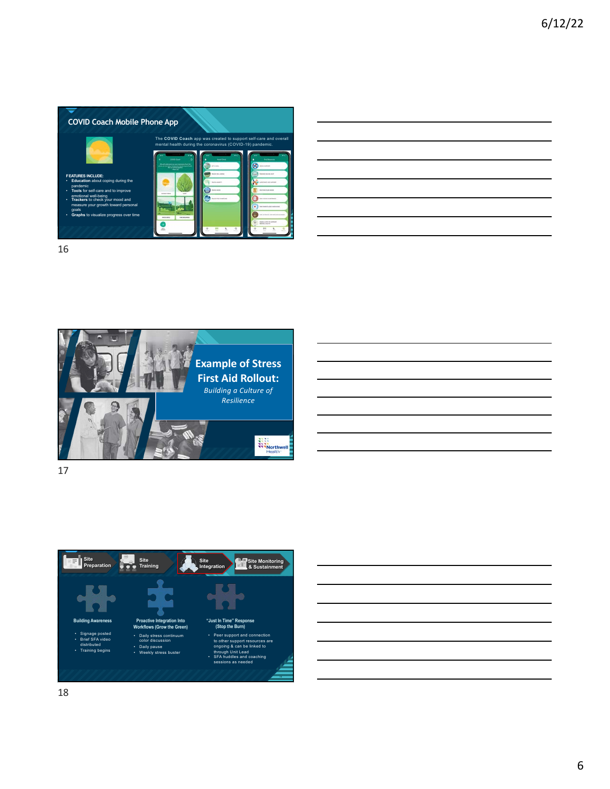

16







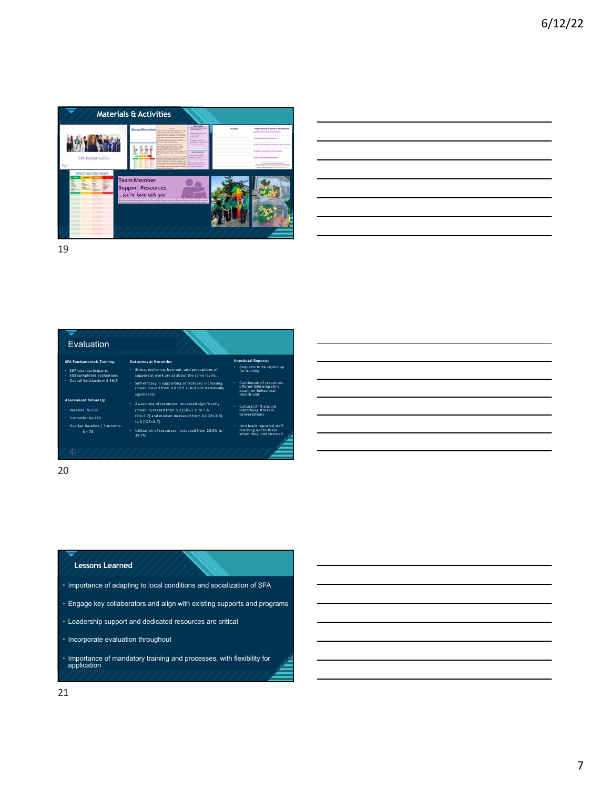



20

## **Click to earned**

- Importance of adapting to local conditions and socialization of SFA
- Engage key collaborators and align with existing supports and programs
- Leadership support and dedicated resources are critical
- Incorporate evaluation throughout
- Importance of mandatory training and processes, with flexibility for application